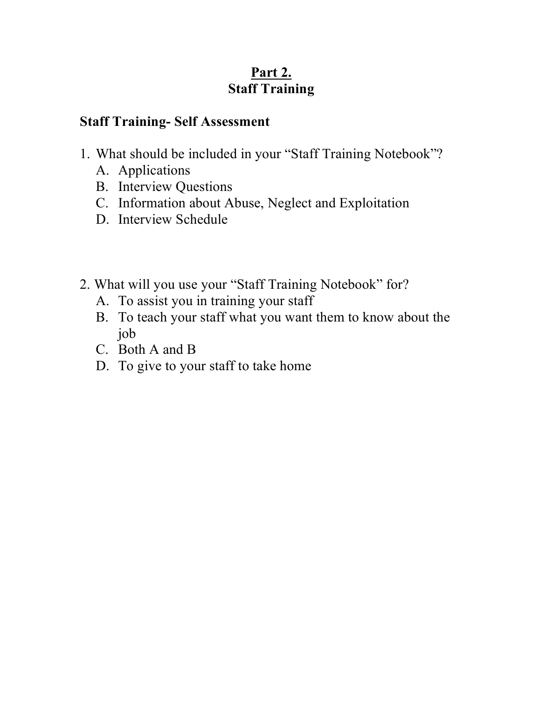#### **Staff Training- Self Assessment**

- 1. What should be included in your "Staff Training Notebook"?
	- A. Applications
	- B. Interview Questions
	- C. Information about Abuse, Neglect and Exploitation
	- D. Interview Schedule
- 2. What will you use your "Staff Training Notebook" for?
	- A. To assist you in training your staff
	- B. To teach your staff what you want them to know about the job
	- C. Both A and B
	- D. To give to your staff to take home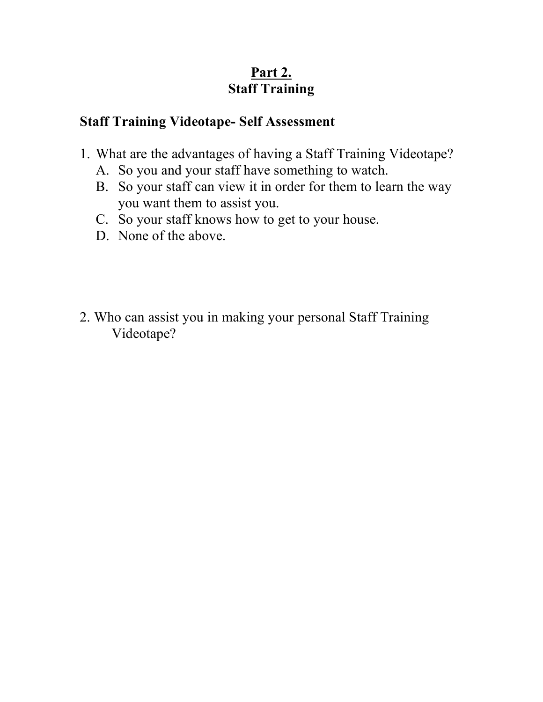#### **Staff Training Videotape- Self Assessment**

- 1. What are the advantages of having a Staff Training Videotape?
	- A. So you and your staff have something to watch.
	- B. So your staff can view it in order for them to learn the way you want them to assist you.
	- C. So your staff knows how to get to your house.
	- D. None of the above.
- 2. Who can assist you in making your personal Staff Training Videotape?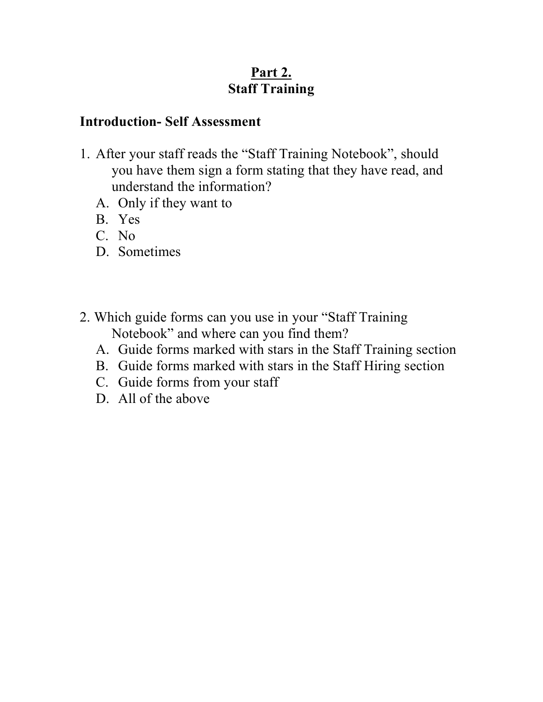#### **Introduction- Self Assessment**

- 1. After your staff reads the "Staff Training Notebook", should you have them sign a form stating that they have read, and understand the information?
	- A. Only if they want to
	- B. Yes
	- C. No
	- D. Sometimes
- 2. Which guide forms can you use in your "Staff Training Notebook" and where can you find them?
	- A. Guide forms marked with stars in the Staff Training section
	- B. Guide forms marked with stars in the Staff Hiring section
	- C. Guide forms from your staff
	- D. All of the above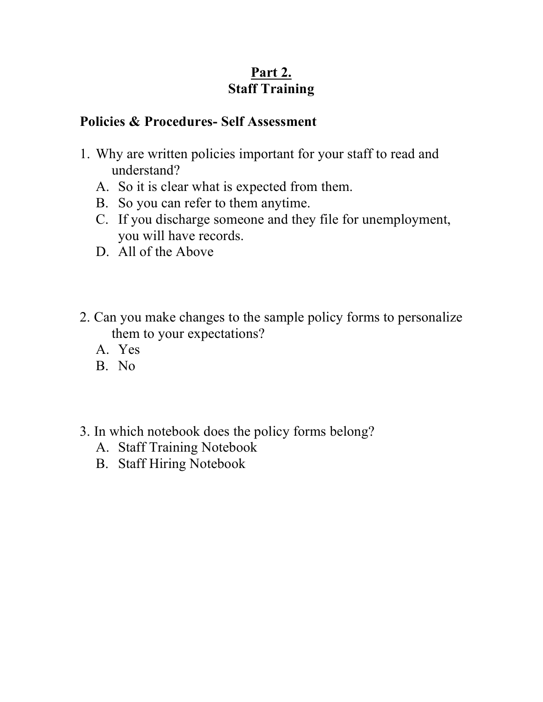#### **Policies & Procedures- Self Assessment**

- 1. Why are written policies important for your staff to read and understand?
	- A. So it is clear what is expected from them.
	- B. So you can refer to them anytime.
	- C. If you discharge someone and they file for unemployment, you will have records.
	- D. All of the Above
- 2. Can you make changes to the sample policy forms to personalize them to your expectations?
	- A. Yes
	- B. No
- 3. In which notebook does the policy forms belong?
	- A. Staff Training Notebook
	- B. Staff Hiring Notebook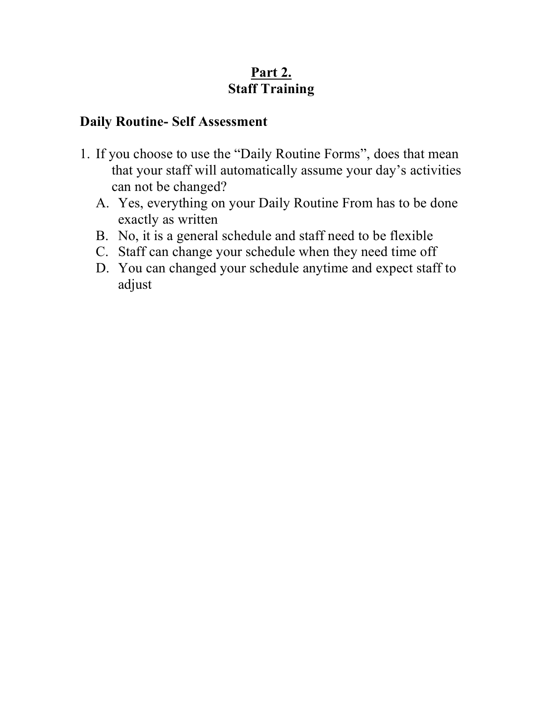#### **Daily Routine- Self Assessment**

- 1. If you choose to use the "Daily Routine Forms", does that mean that your staff will automatically assume your day's activities can not be changed?
	- A. Yes, everything on your Daily Routine From has to be done exactly as written
	- B. No, it is a general schedule and staff need to be flexible
	- C. Staff can change your schedule when they need time off
	- D. You can changed your schedule anytime and expect staff to adjust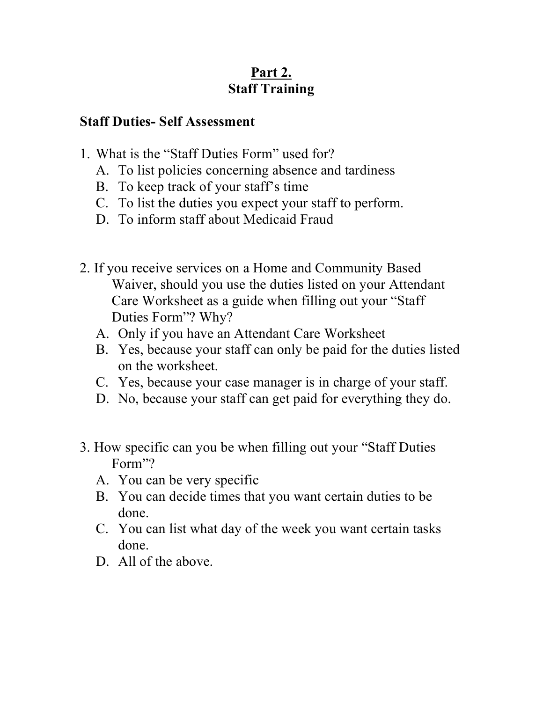#### **Staff Duties- Self Assessment**

- 1. What is the "Staff Duties Form" used for?
	- A. To list policies concerning absence and tardiness
	- B. To keep track of your staff's time
	- C. To list the duties you expect your staff to perform.
	- D. To inform staff about Medicaid Fraud
- 2. If you receive services on a Home and Community Based Waiver, should you use the duties listed on your Attendant Care Worksheet as a guide when filling out your "Staff Duties Form"? Why?
	- A. Only if you have an Attendant Care Worksheet
	- B. Yes, because your staff can only be paid for the duties listed on the worksheet.
	- C. Yes, because your case manager is in charge of your staff.
	- D. No, because your staff can get paid for everything they do.
- 3. How specific can you be when filling out your "Staff Duties Form"?
	- A. You can be very specific
	- B. You can decide times that you want certain duties to be done.
	- C. You can list what day of the week you want certain tasks done.
	- D. All of the above.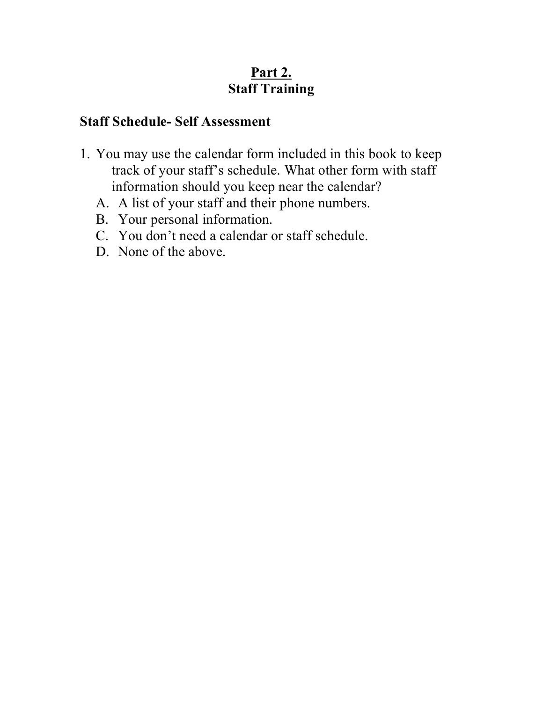### **Staff Schedule- Self Assessment**

- 1. You may use the calendar form included in this book to keep track of your staff's schedule. What other form with staff information should you keep near the calendar?
	- A. A list of your staff and their phone numbers.
	- B. Your personal information.
	- C. You don't need a calendar or staff schedule.
	- D. None of the above.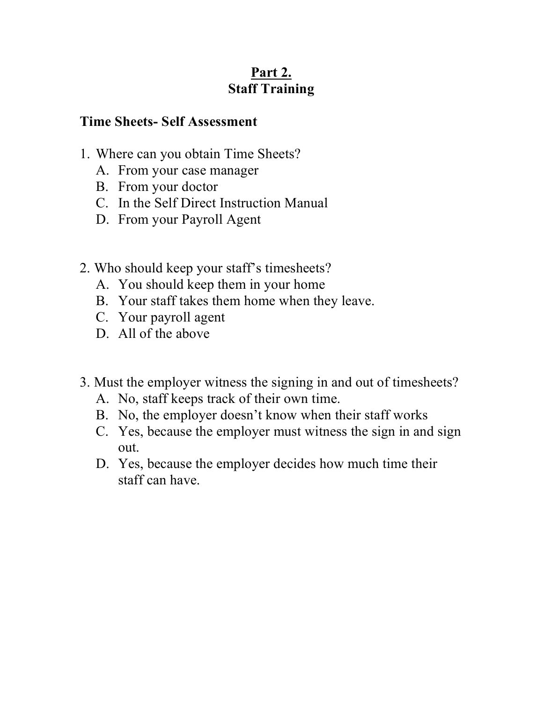#### **Time Sheets- Self Assessment**

- 1. Where can you obtain Time Sheets?
	- A. From your case manager
	- B. From your doctor
	- C. In the Self Direct Instruction Manual
	- D. From your Payroll Agent
- 2. Who should keep your staff's timesheets?
	- A. You should keep them in your home
	- B. Your staff takes them home when they leave.
	- C. Your payroll agent
	- D. All of the above
- 3. Must the employer witness the signing in and out of timesheets?
	- A. No, staff keeps track of their own time.
	- B. No, the employer doesn't know when their staff works
	- C. Yes, because the employer must witness the sign in and sign out.
	- D. Yes, because the employer decides how much time their staff can have.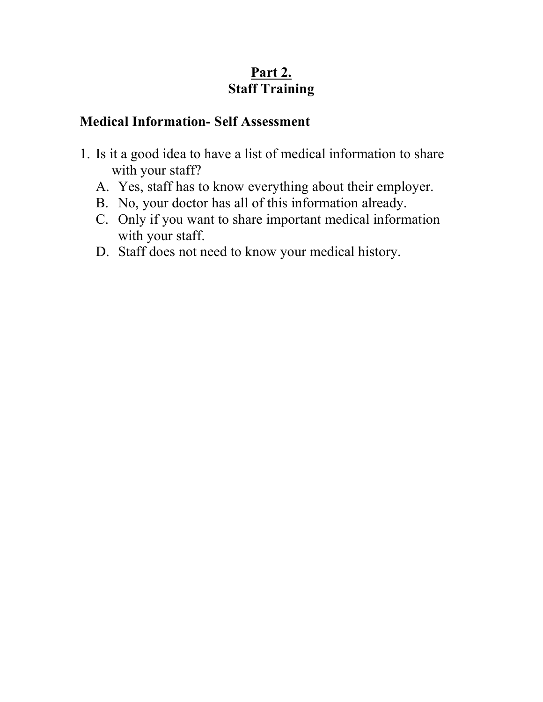#### **Medical Information- Self Assessment**

- 1. Is it a good idea to have a list of medical information to share with your staff?
	- A. Yes, staff has to know everything about their employer.
	- B. No, your doctor has all of this information already.
	- C. Only if you want to share important medical information with your staff.
	- D. Staff does not need to know your medical history.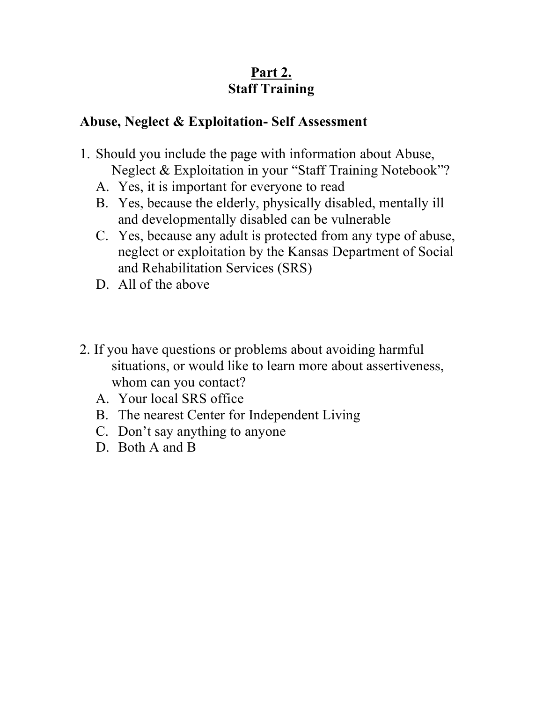#### **Abuse, Neglect & Exploitation- Self Assessment**

- 1. Should you include the page with information about Abuse, Neglect & Exploitation in your "Staff Training Notebook"?
	- A. Yes, it is important for everyone to read
	- B. Yes, because the elderly, physically disabled, mentally ill and developmentally disabled can be vulnerable
	- C. Yes, because any adult is protected from any type of abuse, neglect or exploitation by the Kansas Department of Social and Rehabilitation Services (SRS)
	- D. All of the above
- 2. If you have questions or problems about avoiding harmful situations, or would like to learn more about assertiveness, whom can you contact?
	- A. Your local SRS office
	- B. The nearest Center for Independent Living
	- C. Don't say anything to anyone
	- D. Both A and B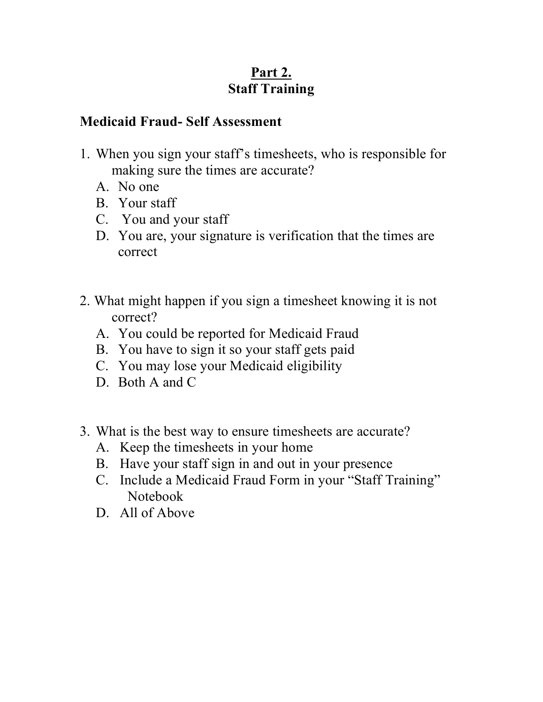#### **Medicaid Fraud- Self Assessment**

- 1. When you sign your staff's timesheets, who is responsible for making sure the times are accurate?
	- A. No one
	- B. Your staff
	- C. You and your staff
	- D. You are, your signature is verification that the times are correct
- 2. What might happen if you sign a timesheet knowing it is not correct?
	- A. You could be reported for Medicaid Fraud
	- B. You have to sign it so your staff gets paid
	- C. You may lose your Medicaid eligibility
	- D. Both A and C
- 3. What is the best way to ensure timesheets are accurate?
	- A. Keep the timesheets in your home
	- B. Have your staff sign in and out in your presence
	- C. Include a Medicaid Fraud Form in your "Staff Training" Notebook
	- D. All of Above